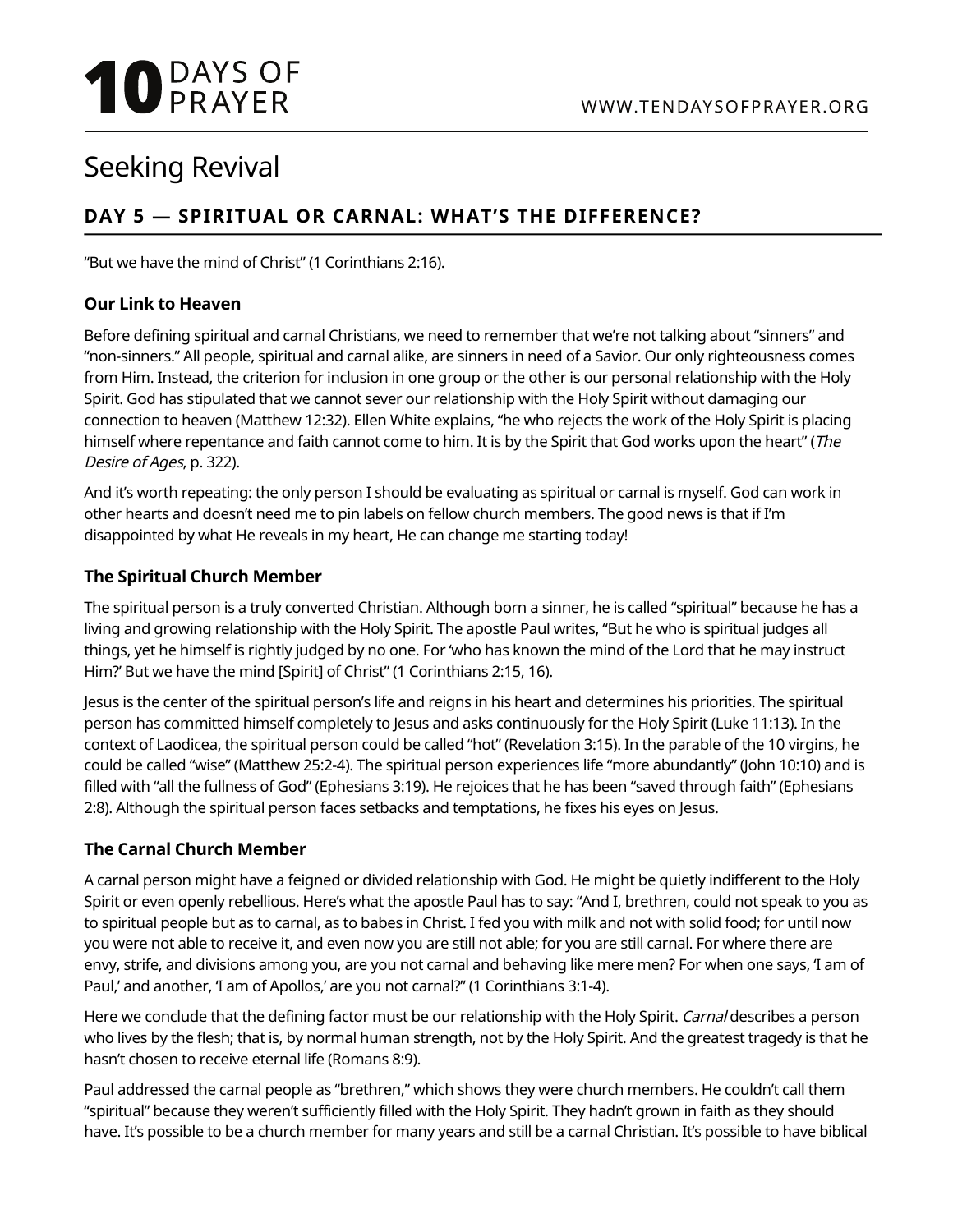# **10** DAYS OF

## Seeking Revival

### **DAY 5 — SPIRITUAL OR CARNAL: WHAT'S THE DIFFERENCE?**

"But we have the mind of Christ" (1 Corinthians 2:16).

#### **Our Link to Heaven**

Before defining spiritual and carnal Christians, we need to remember that we're not talking about "sinners" and "non-sinners." All people, spiritual and carnal alike, are sinners in need of a Savior. Our only righteousness comes from Him. Instead, the criterion for inclusion in one group or the other is our personal relationship with the Holy Spirit. God has stipulated that we cannot sever our relationship with the Holy Spirit without damaging our connection to heaven (Matthew 12:32). Ellen White explains, "he who rejects the work of the Holy Spirit is placing himself where repentance and faith cannot come to him. It is by the Spirit that God works upon the heart" (The Desire of Ages, p. 322).

And it's worth repeating: the only person I should be evaluating as spiritual or carnal is myself. God can work in other hearts and doesn't need me to pin labels on fellow church members. The good news is that if I'm disappointed by what He reveals in my heart, He can change me starting today!

#### **The Spiritual Church Member**

The spiritual person is a truly converted Christian. Although born a sinner, he is called "spiritual" because he has a living and growing relationship with the Holy Spirit. The apostle Paul writes, "But he who is spiritual judges all things, yet he himself is rightly judged by no one. For 'who has known the mind of the Lord that he may instruct Him?' But we have the mind [Spirit] of Christ" (1 Corinthians 2:15, 16).

Jesus is the center of the spiritual person's life and reigns in his heart and determines his priorities. The spiritual person has committed himself completely to Jesus and asks continuously for the Holy Spirit (Luke 11:13). In the context of Laodicea, the spiritual person could be called "hot" (Revelation 3:15). In the parable of the 10 virgins, he could be called "wise" (Matthew 25:2-4). The spiritual person experiences life "more abundantly" (John 10:10) and is filled with "all the fullness of God" (Ephesians 3:19). He rejoices that he has been "saved through faith" (Ephesians 2:8). Although the spiritual person faces setbacks and temptations, he fixes his eyes on Jesus.

#### **The Carnal Church Member**

A carnal person might have a feigned or divided relationship with God. He might be quietly indifferent to the Holy Spirit or even openly rebellious. Here's what the apostle Paul has to say: "And I, brethren, could not speak to you as to spiritual people but as to carnal, as to babes in Christ. I fed you with milk and not with solid food; for until now you were not able to receive it, and even now you are still not able; for you are still carnal. For where there are envy, strife, and divisions among you, are you not carnal and behaving like mere men? For when one says, 'I am of Paul,' and another, 'I am of Apollos,' are you not carnal?" (1 Corinthians 3:1-4).

Here we conclude that the defining factor must be our relationship with the Holy Spirit. Carnal describes a person who lives by the flesh; that is, by normal human strength, not by the Holy Spirit. And the greatest tragedy is that he hasn't chosen to receive eternal life (Romans 8:9).

Paul addressed the carnal people as "brethren," which shows they were church members. He couldn't call them "spiritual" because they weren't sufficiently filled with the Holy Spirit. They hadn't grown in faith as they should have. It's possible to be a church member for many years and still be a carnal Christian. It's possible to have biblical